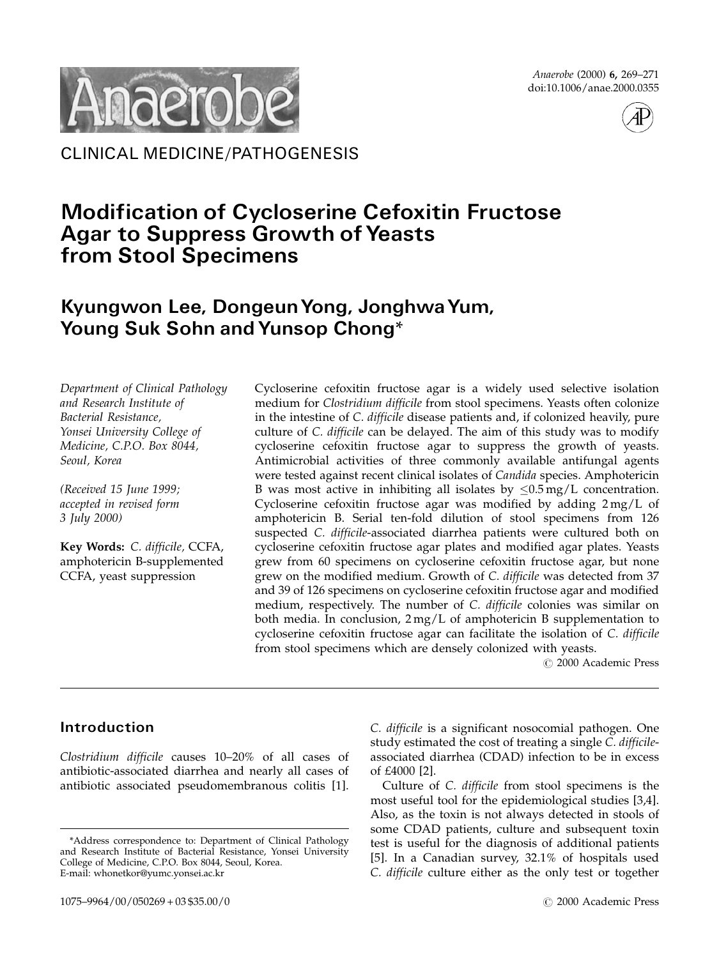Anaerobe (2000) 6, 269–271 doi:10.1006/anae.2000.0355



CLINICAL MEDICINE/PATHOGENESIS

# **Modification of Cycloserine Cefoxitin Fructose** Agar to Suppress Growth of Yeasts from Stool Specimens

## Kyungwon Lee, DongeunYong, JonghwaYum, Young Suk Sohn and Yunsop Chong\*

Department of Clinical Pathology and Research Institute of Bacterial Resistance, Yonsei University College of Medicine, C.P.O. Box 8044, Seoul, Korea

(Received 15 June 1999; accepted in revised form 3 July 2000)

Key Words: C. difficile, CCFA, amphotericin B-supplemented CCFA, yeast suppression

Cycloserine cefoxitin fructose agar is a widely used selective isolation medium for Clostridium difficile from stool specimens. Yeasts often colonize in the intestine of C. difficile disease patients and, if colonized heavily, pure culture of C. difficile can be delayed. The aim of this study was to modify cycloserine cefoxitin fructose agar to suppress the growth of yeasts. Antimicrobial activities of three commonly available antifungal agents were tested against recent clinical isolates of Candida species. Amphotericin B was most active in inhibiting all isolates by  $\leq 0.5$  mg/L concentration. Cycloserine cefoxitin fructose agar was modified by adding  $2 \text{ mg/L}$  of amphotericin B. Serial ten-fold dilution of stool specimens from 126 suspected C. difficile-associated diarrhea patients were cultured both on cycloserine cefoxitin fructose agar plates and modified agar plates. Yeasts grew from 60 specimens on cycloserine cefoxitin fructose agar, but none grew on the modified medium. Growth of C. difficile was detected from 37 and 39 of 126 specimens on cycloserine cefoxitin fructose agar and modified medium, respectively. The number of C. difficile colonies was similar on both media. In conclusion, 2 mg/L of amphotericin B supplementation to cycloserine cefoxitin fructose agar can facilitate the isolation of C. difficile from stool specimens which are densely colonized with yeasts.

© 2000 Academic Press

### Introduction

Clostridium difficile causes 10–20% of all cases of antibiotic-associated diarrhea and nearly all cases of antibiotic associated pseudomembranous colitis [\[1\].](#page-2-0)

C. difficile is a significant nosocomial pathogen. One study estimated the cost of treating a single C. difficileassociated diarrhea (CDAD) infection to be in excess of £4000 [\[2\].](#page-2-0)

Culture of C. difficile from stool specimens is the most useful tool for the epidemiological studies [\[3,4\]](#page-2-0). Also, as the toxin is not always detected in stools of some CDAD patients, culture and subsequent toxin test is useful for the diagnosis of additional patients [\[5\]](#page-2-0). In a Canadian survey, 32.1% of hospitals used C. difficile culture either as the only test or together

<sup>\*</sup>Address correspondence to: Department of Clinical Pathology and Research Institute of Bacterial Resistance, Yonsei University College of Medicine, C.P.O. Box 8044, Seoul, Korea. E-mail: whonetkor@yumc.yonsei.ac.kr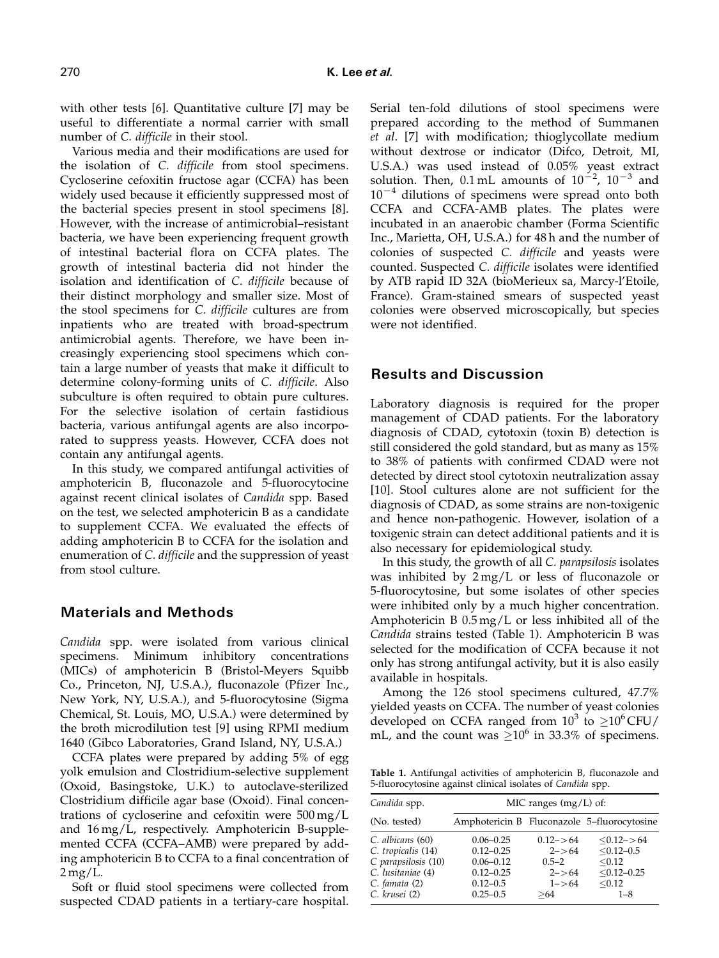with other tests [\[6\].](#page-2-0) Quantitative culture [\[7\]](#page-2-0) may be useful to differentiate a normal carrier with small number of C. difficile in their stool.

Various media and their modifications are used for the isolation of C. difficile from stool specimens. Cycloserine cefoxitin fructose agar (CCFA) has been widely used because it efficiently suppressed most of the bacterial species present in stool specimens [\[8\].](#page-2-0) However, with the increase of antimicrobial–resistant bacteria, we have been experiencing frequent growth of intestinal bacterial flora on CCFA plates. The growth of intestinal bacteria did not hinder the isolation and identification of C. difficile because of their distinct morphology and smaller size. Most of the stool specimens for C. difficile cultures are from inpatients who are treated with broad-spectrum antimicrobial agents. Therefore, we have been increasingly experiencing stool specimens which contain a large number of yeasts that make it difficult to determine colony-forming units of C. difficile. Also subculture is often required to obtain pure cultures. For the selective isolation of certain fastidious bacteria, various antifungal agents are also incorporated to suppress yeasts. However, CCFA does not contain any antifungal agents.

In this study, we compared antifungal activities of amphotericin B, fluconazole and 5-fluorocytocine against recent clinical isolates of Candida spp. Based on the test, we selected amphotericin B as a candidate to supplement CCFA. We evaluated the effects of adding amphotericin B to CCFA for the isolation and enumeration of C. difficile and the suppression of yeast from stool culture.

#### Materials and Methods

Candida spp. were isolated from various clinical specimens. Minimum inhibitory concentrations (MICs) of amphotericin B (Bristol-Meyers Squibb Co., Princeton, NJ, U.S.A.), fluconazole (Pfizer Inc., New York, NY, U.S.A.), and 5-fluorocytosine (Sigma Chemical, St. Louis, MO, U.S.A.) were determined by the broth microdilution test [\[9\]](#page-2-0) using RPMI medium 1640 (Gibco Laboratories, Grand Island, NY, U.S.A.)

CCFA plates were prepared by adding 5% of egg yolk emulsion and Clostridium-selective supplement (Oxoid, Basingstoke, U.K.) to autoclave-sterilized Clostridium difficile agar base (Oxoid). Final concentrations of cycloserine and cefoxitin were 500 mg/L and 16 mg/L, respectively. Amphotericin B-supplemented CCFA (CCFA–AMB) were prepared by adding amphotericin B to CCFA to a final concentration of  $2 \,\mathrm{mg/L}$ .

Soft or fluid stool specimens were collected from suspected CDAD patients in a tertiary-care hospital. Serial ten-fold dilutions of stool specimens were prepared according to the method of Summanen et al. [\[7\]](#page-2-0) with modification; thioglycollate medium without dextrose or indicator (Difco, Detroit, MI, U.S.A.) was used instead of 0.05% yeast extract solution. Then,  $0.1$  mL amounts of  $10^{-2}$ ,  $10^{-3}$  and  $10^{-4}$  dilutions of specimens were spread onto both CCFA and CCFA-AMB plates. The plates were incubated in an anaerobic chamber (Forma Scientific Inc., Marietta, OH, U.S.A.) for 48 h and the number of colonies of suspected C. difficile and yeasts were counted. Suspected C. difficile isolates were identified by ATB rapid ID 32A (bioMerieux sa, Marcy-l'Etoile, France). Gram-stained smears of suspected yeast colonies were observed microscopically, but species were not identified.

#### Results and Discussion

Laboratory diagnosis is required for the proper management of CDAD patients. For the laboratory diagnosis of CDAD, cytotoxin (toxin B) detection is still considered the gold standard, but as many as 15% to 38% of patients with confirmed CDAD were not detected by direct stool cytotoxin neutralization assay [\[10\].](#page-2-0) Stool cultures alone are not sufficient for the diagnosis of CDAD, as some strains are non-toxigenic and hence non-pathogenic. However, isolation of a toxigenic strain can detect additional patients and it is also necessary for epidemiological study.

In this study, the growth of all C. parapsilosis isolates was inhibited by 2 mg/L or less of fluconazole or 5-fluorocytosine, but some isolates of other species were inhibited only by a much higher concentration. Amphotericin B 0.5 mg/L or less inhibited all of the Candida strains tested (Table 1). Amphotericin B was selected for the modification of CCFA because it not only has strong antifungal activity, but it is also easily available in hospitals.

Among the 126 stool specimens cultured, 47.7% yielded yeasts on CCFA. The number of yeast colonies developed on CCFA ranged from  $10^3$  to  $\geq$  10<sup>6</sup> CFU/ mL, and the count was  $\geq 10^6$  in 33.3% of specimens.

Table 1. Antifungal activities of amphotericin B, fluconazole and 5-fluorocytosine against clinical isolates of Candida spp.

| Candida spp.                                                                                                         | MIC ranges $(mg/L)$ of:                                                                          |                                                                             |                                                                                   |  |  |  |
|----------------------------------------------------------------------------------------------------------------------|--------------------------------------------------------------------------------------------------|-----------------------------------------------------------------------------|-----------------------------------------------------------------------------------|--|--|--|
| (No. tested)                                                                                                         |                                                                                                  |                                                                             | Amphotericin B Fluconazole 5-fluorocytosine                                       |  |  |  |
| C. albicans (60)<br>C. tropicalis (14)<br>C parapsilosis (10)<br>C. lusitaniae (4)<br>C. famata (2)<br>C. krusei (2) | $0.06 - 0.25$<br>$0.12 - 0.25$<br>$0.06 - 0.12$<br>$0.12 - 0.25$<br>$0.12 - 0.5$<br>$0.25 - 0.5$ | $0.12 - > 64$<br>$2 - > 64$<br>$0.5 - 2$<br>$2 - > 64$<br>$1 - > 64$<br>>64 | $< 0.12 - 64$<br>$< 0.12 - 0.5$<br>< 0.12<br>$< 0.12 - 0.25$<br>< 0.12<br>$1 - 8$ |  |  |  |